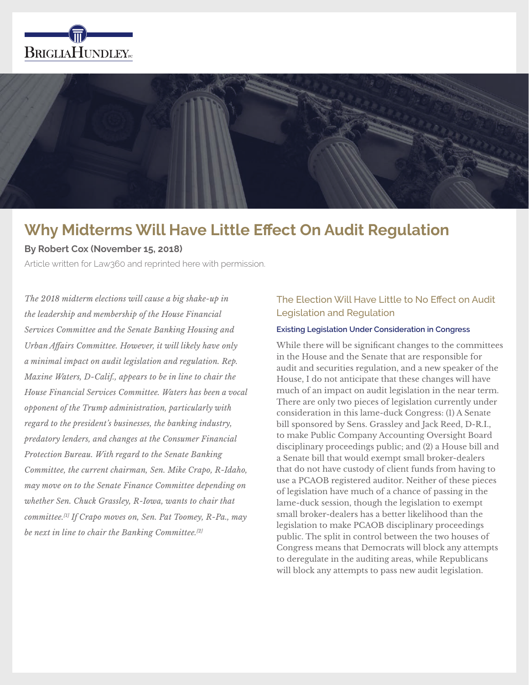



# **Why Midterms Will Have Little Effect On Audit Regulation**

**By Robert Cox (November 15, 2018)**

Article written for Law360 and reprinted here with permission.

*The 2018 midterm elections will cause a big shake-up in the leadership and membership of the House Financial Services Committee and the Senate Banking Housing and Urban Affairs Committee. However, it will likely have only a minimal impact on audit legislation and regulation. Rep. Maxine Waters, D-Calif., appears to be in line to chair the House Financial Services Committee. Waters has been a vocal opponent of the Trump administration, particularly with regard to the president's businesses, the banking industry, predatory lenders, and changes at the Consumer Financial Protection Bureau. With regard to the Senate Banking Committee, the current chairman, Sen. Mike Crapo, R-Idaho, may move on to the Senate Finance Committee depending on whether Sen. Chuck Grassley, R-Iowa, wants to chair that committee.[1] If Crapo moves on, Sen. Pat Toomey, R-Pa., may be next in line to chair the Banking Committee.[2]*

## The Election Will Have Little to No Effect on Audit Legislation and Regulation

#### **Existing Legislation Under Consideration in Congress**

While there will be significant changes to the committees in the House and the Senate that are responsible for audit and securities regulation, and a new speaker of the House, I do not anticipate that these changes will have much of an impact on audit legislation in the near term. There are only two pieces of legislation currently under consideration in this lame-duck Congress: (1) A Senate bill sponsored by Sens. Grassley and Jack Reed, D-R.I., to make Public Company Accounting Oversight Board disciplinary proceedings public; and (2) a House bill and a Senate bill that would exempt small broker-dealers that do not have custody of client funds from having to use a PCAOB registered auditor. Neither of these pieces of legislation have much of a chance of passing in the lame-duck session, though the legislation to exempt small broker-dealers has a better likelihood than the legislation to make PCAOB disciplinary proceedings public. The split in control between the two houses of Congress means that Democrats will block any attempts to deregulate in the auditing areas, while Republicans will block any attempts to pass new audit legislation.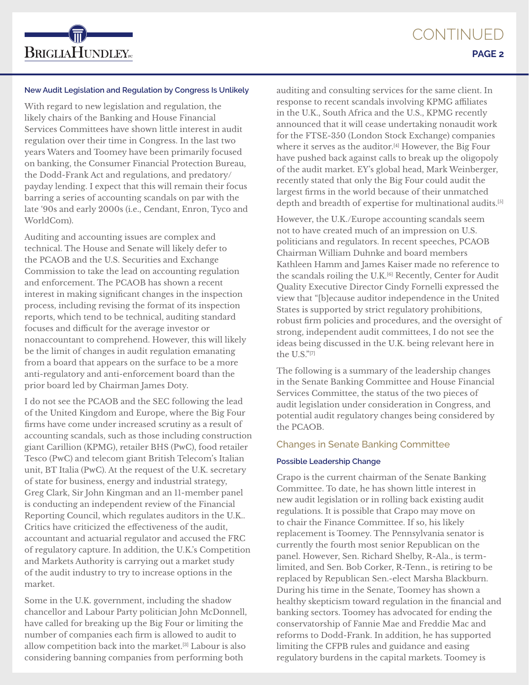

#### **New Audit Legislation and Regulation by Congress Is Unlikely**

With regard to new legislation and regulation, the likely chairs of the Banking and House Financial Services Committees have shown little interest in audit regulation over their time in Congress. In the last two years Waters and Toomey have been primarily focused on banking, the Consumer Financial Protection Bureau, the Dodd-Frank Act and regulations, and predatory/ payday lending. I expect that this will remain their focus barring a series of accounting scandals on par with the late '90s and early 2000s (i.e., Cendant, Enron, Tyco and WorldCom).

Auditing and accounting issues are complex and technical. The House and Senate will likely defer to the PCAOB and the U.S. Securities and Exchange Commission to take the lead on accounting regulation and enforcement. The PCAOB has shown a recent interest in making significant changes in the inspection process, including revising the format of its inspection reports, which tend to be technical, auditing standard focuses and difficult for the average investor or nonaccountant to comprehend. However, this will likely be the limit of changes in audit regulation emanating from a board that appears on the surface to be a more anti-regulatory and anti-enforcement board than the prior board led by Chairman James Doty.

I do not see the PCAOB and the SEC following the lead of the United Kingdom and Europe, where the Big Four firms have come under increased scrutiny as a result of accounting scandals, such as those including construction giant Carillion (KPMG), retailer BHS (PwC), food retailer Tesco (PwC) and telecom giant British Telecom's Italian unit, BT Italia (PwC). At the request of the U.K. secretary of state for business, energy and industrial strategy, Greg Clark, Sir John Kingman and an 11-member panel is conducting an independent review of the Financial Reporting Council, which regulates auditors in the U.K.. Critics have criticized the effectiveness of the audit, accountant and actuarial regulator and accused the FRC of regulatory capture. In addition, the U.K.'s Competition and Markets Authority is carrying out a market study of the audit industry to try to increase options in the market.

Some in the U.K. government, including the shadow chancellor and Labour Party politician John McDonnell, have called for breaking up the Big Four or limiting the number of companies each firm is allowed to audit to allow competition back into the market.[3] Labour is also considering banning companies from performing both

auditing and consulting services for the same client. In response to recent scandals involving KPMG affiliates in the U.K., South Africa and the U.S., KPMG recently announced that it will cease undertaking nonaudit work for the FTSE-350 (London Stock Exchange) companies where it serves as the auditor.<sup>[4]</sup> However, the Big Four have pushed back against calls to break up the oligopoly of the audit market. EY's global head, Mark Weinberger, recently stated that only the Big Four could audit the largest firms in the world because of their unmatched depth and breadth of expertise for multinational audits.<sup>[5]</sup>

However, the U.K./Europe accounting scandals seem not to have created much of an impression on U.S. politicians and regulators. In recent speeches, PCAOB Chairman William Duhnke and board members Kathleen Hamm and James Kaiser made no reference to the scandals roiling the U.K.[6] Recently, Center for Audit Quality Executive Director Cindy Fornelli expressed the view that "[b]ecause auditor independence in the United States is supported by strict regulatory prohibitions, robust firm policies and procedures, and the oversight of strong, independent audit committees, I do not see the ideas being discussed in the U.K. being relevant here in the U.S."[7]

The following is a summary of the leadership changes in the Senate Banking Committee and House Financial Services Committee, the status of the two pieces of audit legislation under consideration in Congress, and potential audit regulatory changes being considered by the PCAOB.

#### Changes in Senate Banking Committee

#### **Possible Leadership Change**

Crapo is the current chairman of the Senate Banking Committee. To date, he has shown little interest in new audit legislation or in rolling back existing audit regulations. It is possible that Crapo may move on to chair the Finance Committee. If so, his likely replacement is Toomey. The Pennsylvania senator is currently the fourth most senior Republican on the panel. However, Sen. Richard Shelby, R-Ala., is termlimited, and Sen. Bob Corker, R-Tenn., is retiring to be replaced by Republican Sen.-elect Marsha Blackburn. During his time in the Senate, Toomey has shown a healthy skepticism toward regulation in the financial and banking sectors. Toomey has advocated for ending the conservatorship of Fannie Mae and Freddie Mac and reforms to Dodd-Frank. In addition, he has supported limiting the CFPB rules and guidance and easing regulatory burdens in the capital markets. Toomey is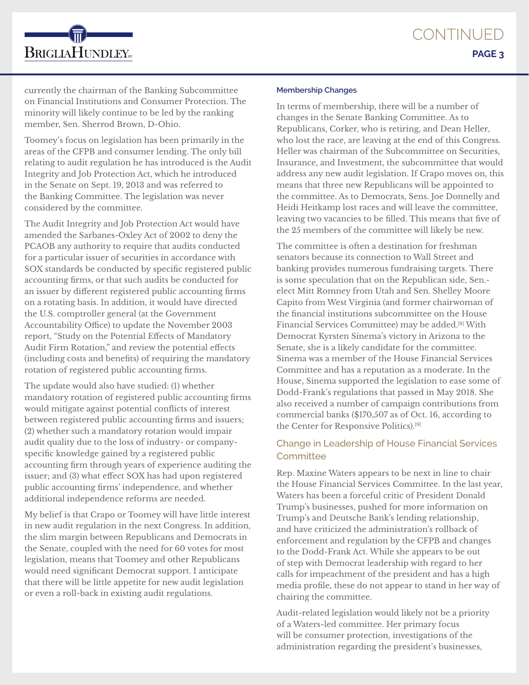currently the chairman of the Banking Subcommittee on Financial Institutions and Consumer Protection. The minority will likely continue to be led by the ranking member, Sen. Sherrod Brown, D-Ohio.

**BRIGLIAHUNDLEY**<sub>rc</sub>

Toomey's focus on legislation has been primarily in the areas of the CFPB and consumer lending. The only bill relating to audit regulation he has introduced is the Audit Integrity and Job Protection Act, which he introduced in the Senate on Sept. 19, 2013 and was referred to the Banking Committee. The legislation was never considered by the committee.

The Audit Integrity and Job Protection Act would have amended the Sarbanes-Oxley Act of 2002 to deny the PCAOB any authority to require that audits conducted for a particular issuer of securities in accordance with SOX standards be conducted by specific registered public accounting firms, or that such audits be conducted for an issuer by different registered public accounting firms on a rotating basis. In addition, it would have directed the U.S. comptroller general (at the Government Accountability Office) to update the November 2003 report, "Study on the Potential Effects of Mandatory Audit Firm Rotation," and review the potential effects (including costs and benefits) of requiring the mandatory rotation of registered public accounting firms.

The update would also have studied: (1) whether mandatory rotation of registered public accounting firms would mitigate against potential conflicts of interest between registered public accounting firms and issuers; (2) whether such a mandatory rotation would impair audit quality due to the loss of industry- or companyspecific knowledge gained by a registered public accounting firm through years of experience auditing the issuer; and (3) what effect SOX has had upon registered public accounting firms' independence, and whether additional independence reforms are needed.

My belief is that Crapo or Toomey will have little interest in new audit regulation in the next Congress. In addition, the slim margin between Republicans and Democrats in the Senate, coupled with the need for 60 votes for most legislation, means that Toomey and other Republicans would need significant Democrat support. I anticipate that there will be little appetite for new audit legislation or even a roll-back in existing audit regulations.

#### **Membership Changes**

In terms of membership, there will be a number of changes in the Senate Banking Committee. As to Republicans, Corker, who is retiring, and Dean Heller, who lost the race, are leaving at the end of this Congress. Heller was chairman of the Subcommittee on Securities, Insurance, and Investment, the subcommittee that would address any new audit legislation. If Crapo moves on, this means that three new Republicans will be appointed to the committee. As to Democrats, Sens. Joe Donnelly and Heidi Heitkamp lost races and will leave the committee, leaving two vacancies to be filled. This means that five of the 25 members of the committee will likely be new.

The committee is often a destination for freshman senators because its connection to Wall Street and banking provides numerous fundraising targets. There is some speculation that on the Republican side, Sen. elect Mitt Romney from Utah and Sen. Shelley Moore Capito from West Virginia (and former chairwoman of the financial institutions subcommittee on the House Financial Services Committee) may be added.[8] With Democrat Kyrsten Sinema's victory in Arizona to the Senate, she is a likely candidate for the committee. Sinema was a member of the House Financial Services Committee and has a reputation as a moderate. In the House, Sinema supported the legislation to ease some of Dodd-Frank's regulations that passed in May 2018. She also received a number of campaign contributions from commercial banks (\$170,507 as of Oct. 16, according to the Center for Responsive Politics).[9]

## Change in Leadership of House Financial Services **Committee**

Rep. Maxine Waters appears to be next in line to chair the House Financial Services Committee. In the last year, Waters has been a forceful critic of President Donald Trump's businesses, pushed for more information on Trump's and Deutsche Bank's lending relationship, and have criticized the administration's rollback of enforcement and regulation by the CFPB and changes to the Dodd-Frank Act. While she appears to be out of step with Democrat leadership with regard to her calls for impeachment of the president and has a high media profile, these do not appear to stand in her way of chairing the committee.

Audit-related legislation would likely not be a priority of a Waters-led committee. Her primary focus will be consumer protection, investigations of the administration regarding the president's businesses,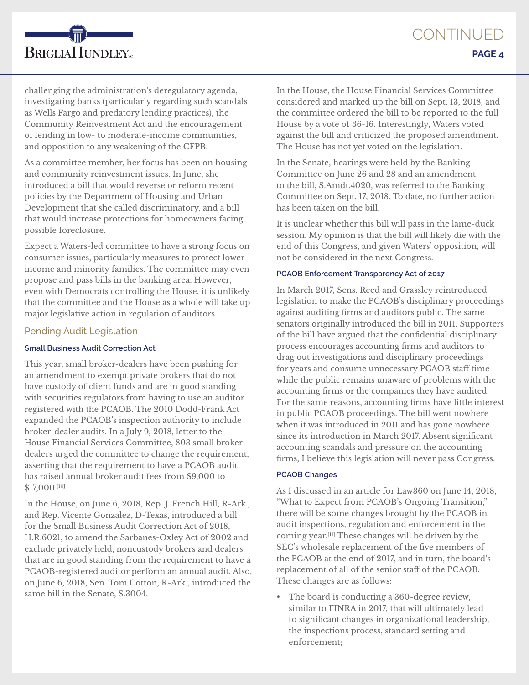challenging the administration's deregulatory agenda, investigating banks (particularly regarding such scandals as Wells Fargo and predatory lending practices), the Community Reinvestment Act and the encouragement of lending in low- to moderate-income communities, and opposition to any weakening of the CFPB.

As a committee member, her focus has been on housing and community reinvestment issues. In June, she introduced a bill that would reverse or reform recent policies by the Department of Housing and Urban Development that she called discriminatory, and a bill that would increase protections for homeowners facing possible foreclosure.

Expect a Waters-led committee to have a strong focus on consumer issues, particularly measures to protect lowerincome and minority families. The committee may even propose and pass bills in the banking area. However, even with Democrats controlling the House, it is unlikely that the committee and the House as a whole will take up major legislative action in regulation of auditors.

### Pending Audit Legislation

**BRIGLIAHUNDLEY**<sub>rc</sub>

#### **Small Business Audit Correction Act**

This year, small broker-dealers have been pushing for an amendment to exempt private brokers that do not have custody of client funds and are in good standing with securities regulators from having to use an auditor registered with the PCAOB. The 2010 Dodd-Frank Act expanded the PCAOB's inspection authority to include broker-dealer audits. In a July 9, 2018, letter to the House Financial Services Committee, 803 small brokerdealers urged the committee to change the requirement, asserting that the requirement to have a PCAOB audit has raised annual broker audit fees from \$9,000 to \$17,000.[10]

In the House, on June 6, 2018, Rep. J. French Hill, R-Ark., and Rep. Vicente Gonzalez, D-Texas, introduced a bill for the Small Business Audit Correction Act of 2018, H.R.6021, to amend the Sarbanes-Oxley Act of 2002 and exclude privately held, noncustody brokers and dealers that are in good standing from the requirement to have a PCAOB-registered auditor perform an annual audit. Also, on June 6, 2018, Sen. Tom Cotton, R-Ark., introduced the same bill in the Senate, S.3004.

In the House, the House Financial Services Committee considered and marked up the bill on Sept. 13, 2018, and the committee ordered the bill to be reported to the full House by a vote of 36-16. Interestingly, Waters voted against the bill and criticized the proposed amendment. The House has not yet voted on the legislation.

In the Senate, hearings were held by the Banking Committee on June 26 and 28 and an amendment to the bill, S.Amdt.4020, was referred to the Banking Committee on Sept. 17, 2018. To date, no further action has been taken on the bill.

It is unclear whether this bill will pass in the lame-duck session. My opinion is that the bill will likely die with the end of this Congress, and given Waters' opposition, will not be considered in the next Congress.

#### **PCAOB Enforcement Transparency Act of 2017**

In March 2017, Sens. Reed and Grassley reintroduced legislation to make the PCAOB's disciplinary proceedings against auditing firms and auditors public. The same senators originally introduced the bill in 2011. Supporters of the bill have argued that the confidential disciplinary process encourages accounting firms and auditors to drag out investigations and disciplinary proceedings for years and consume unnecessary PCAOB staff time while the public remains unaware of problems with the accounting firms or the companies they have audited. For the same reasons, accounting firms have little interest in public PCAOB proceedings. The bill went nowhere when it was introduced in 2011 and has gone nowhere since its introduction in March 2017. Absent significant accounting scandals and pressure on the accounting firms, I believe this legislation will never pass Congress.

#### **PCAOB Changes**

As I discussed in an article for Law360 on June 14, 2018, "What to Expect from PCAOB's Ongoing Transition," there will be some changes brought by the PCAOB in audit inspections, regulation and enforcement in the coming year.[11] These changes will be driven by the SEC's wholesale replacement of the five members of the PCAOB at the end of 2017, and in turn, the board's replacement of all of the senior staff of the PCAOB. These changes are as follows:

• The board is conducting a 360-degree review, similar to FINRA in 2017, that will ultimately lead to significant changes in organizational leadership, the inspections process, standard setting and enforcement;